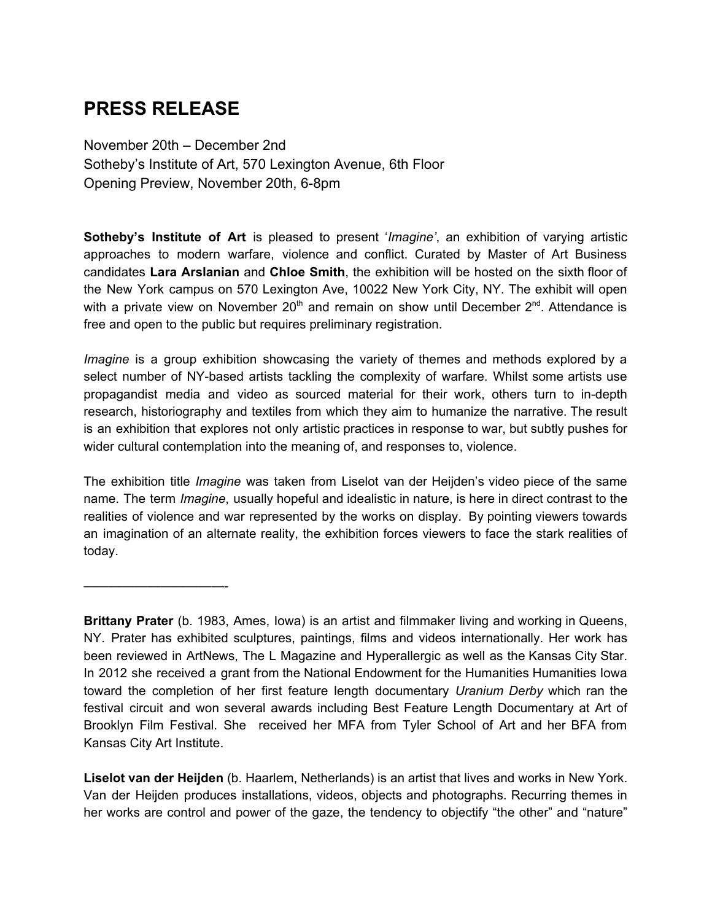## **PRESS RELEASE**

November 20th – December 2nd Sotheby's Institute of Art, 570 Lexington Avenue, 6th Floor Opening Preview, November 20th, 6-8pm

**Sotheby's Institute of Art** is pleased to present '*Imagine'*, an exhibition of varying artistic approaches to modern warfare, violence and conflict. Curated by Master of Art Business candidates **Lara Arslanian** and **Chloe Smith**, the exhibition will be hosted on the sixth floor of the New York campus on 570 Lexington Ave, 10022 New York City, NY. The exhibit will open with a private view on November  $20<sup>th</sup>$  and remain on show until December  $2<sup>nd</sup>$ . Attendance is free and open to the public but requires preliminary registration.

*Imagine* is a group exhibition showcasing the variety of themes and methods explored by a select number of NY-based artists tackling the complexity of warfare. Whilst some artists use propagandist media and video as sourced material for their work, others turn to in-depth research, historiography and textiles from which they aim to humanize the narrative. The result is an exhibition that explores not only artistic practices in response to war, but subtly pushes for wider cultural contemplation into the meaning of, and responses to, violence.

The exhibition title *Imagine* was taken from Liselot van der Heijden's video piece of the same name. The term *Imagine*, usually hopeful and idealistic in nature, is here in direct contrast to the realities of violence and war represented by the works on display. By pointing viewers towards an imagination of an alternate reality, the exhibition forces viewers to face the stark realities of today.

———————————-

**Brittany Prater** (b. 1983, Ames, Iowa) is an artist and filmmaker living and working in Queens, NY. Prater has exhibited sculptures, paintings, films and videos internationally. Her work has been reviewed in ArtNews, The L Magazine and Hyperallergic as well as the Kansas City Star. In 2012 she received a grant from the National Endowment for the Humanities Humanities Iowa toward the completion of her first feature length documentary *Uranium Derby* which ran the festival circuit and won several awards including Best Feature Length Documentary at Art of Brooklyn Film Festival. She received her MFA from Tyler School of Art and her BFA from Kansas City Art Institute.

**Liselot van der Heijden** (b. Haarlem, Netherlands) is an artist that lives and works in New York. Van der Heijden produces installations, videos, objects and photographs. Recurring themes in her works are control and power of the gaze, the tendency to objectify "the other" and "nature"